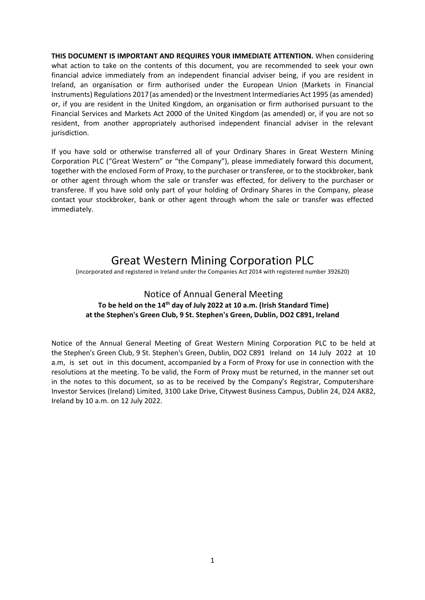**THIS DOCUMENT IS IMPORTANT AND REQUIRES YOUR IMMEDIATE ATTENTION.** When considering what action to take on the contents of this document, you are recommended to seek your own financial advice immediately from an independent financial adviser being, if you are resident in Ireland, an organisation or firm authorised under the European Union (Markets in Financial Instruments) Regulations 2017(as amended) or the Investment Intermediaries Act 1995 (as amended) or, if you are resident in the United Kingdom, an organisation or firm authorised pursuant to the Financial Services and Markets Act 2000 of the United Kingdom (as amended) or, if you are not so resident, from another appropriately authorised independent financial adviser in the relevant jurisdiction.

If you have sold or otherwise transferred all of your Ordinary Shares in Great Western Mining Corporation PLC ("Great Western" or "the Company"), please immediately forward this document, together with the enclosed Form of Proxy, to the purchaser or transferee, or to the stockbroker, bank or other agent through whom the sale or transfer was effected, for delivery to the purchaser or transferee. If you have sold only part of your holding of Ordinary Shares in the Company, please contact your stockbroker, bank or other agent through whom the sale or transfer was effected immediately.

# Great Western Mining Corporation PLC

(incorporated and registered in Ireland under the Companies Act 2014 with registered number 392620)

### Notice of Annual General Meeting **To be held on the 14th day of July 2022 at 10 a.m. (Irish Standard Time) at the Stephen's Green Club, 9 St. Stephen's Green, Dublin, DO2 C891, Ireland**

Notice of the Annual General Meeting of Great Western Mining Corporation PLC to be held at the Stephen's Green Club, 9 St. Stephen's Green, Dublin, DO2 C891 Ireland on 14 July 2022 at 10 a.m, is set out in this document, accompanied by a Form of Proxy for use in connection with the resolutions at the meeting. To be valid, the Form of Proxy must be returned, in the manner set out in the notes to this document, so as to be received by the Company's Registrar, Computershare Investor Services (Ireland) Limited, 3100 Lake Drive, Citywest Business Campus, Dublin 24, D24 AK82, Ireland by 10 a.m. on 12 July 2022.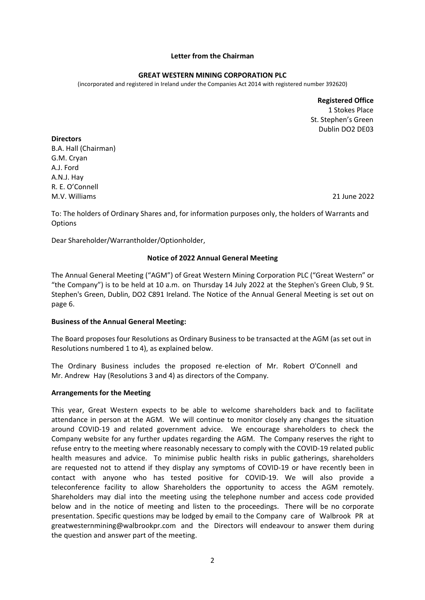#### **Letter from the Chairman**

#### **GREAT WESTERN MINING CORPORATION PLC**

(incorporated and registered in Ireland under the Companies Act 2014 with registered number 392620)

**Registered Office** 1 Stokes Place St. Stephen's Green Dublin DO2 DE03

**Directors** B.A. Hall (Chairman) G.M. Cryan A.J. Ford A.N.J. Hay R. E. O'Connell

M.V. Williams 21 June 2022

To: The holders of Ordinary Shares and, for information purposes only, the holders of Warrants and **Options** 

Dear Shareholder/Warrantholder/Optionholder,

### **Notice of 2022 Annual General Meeting**

The Annual General Meeting ("AGM") of Great Western Mining Corporation PLC ("Great Western" or "the Company") is to be held at 10 a.m. on Thursday 14 July 2022 at the Stephen's Green Club, 9 St. Stephen's Green, Dublin, DO2 C891 Ireland. The Notice of the Annual General Meeting is set out on page 6.

### **Business of the Annual General Meeting:**

The Board proposes four Resolutions as Ordinary Business to be transacted at the AGM (as set out in Resolutions numbered 1 to 4), as explained below.

The Ordinary Business includes the proposed re-election of Mr. Robert O'Connell and Mr. Andrew Hay (Resolutions 3 and 4) as directors of the Company.

#### **Arrangements for the Meeting**

This year, Great Western expects to be able to welcome shareholders back and to facilitate attendance in person at the AGM. We will continue to monitor closely any changes the situation around COVID-19 and related government advice. We encourage shareholders to check the Company website for any further updates regarding the AGM. The Company reserves the right to refuse entry to the meeting where reasonably necessary to comply with the COVID-19 related public health measures and advice. To minimise public health risks in public gatherings, shareholders are requested not to attend if they display any symptoms of COVID-19 or have recently been in contact with anyone who has tested positive for COVID-19. We will also provide a teleconference facility to allow Shareholders the opportunity to access the AGM remotely. Shareholders may dial into the meeting using the telephone number and access code provided below and in the notice of meeting and listen to the proceedings. There will be no corporate presentation. Specific questions may be lodged by email to the Company care of Walbrook PR at greatwesternmining@walbrookpr.com and the Directors will endeavour to answer them during the question and answer part of the meeting.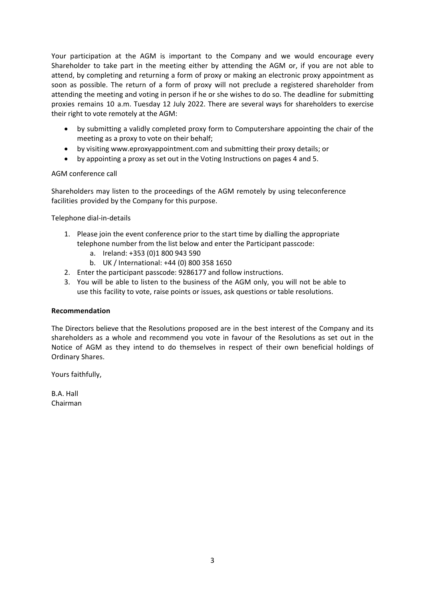Your participation at the AGM is important to the Company and we would encourage every Shareholder to take part in the meeting either by attending the AGM or, if you are not able to attend, by completing and returning a form of proxy or making an electronic proxy appointment as soon as possible. The return of a form of proxy will not preclude a registered shareholder from attending the meeting and voting in person if he or she wishes to do so. The deadline for submitting proxies remains 10 a.m. Tuesday 12 July 2022. There are several ways for shareholders to exercise their right to vote remotely at the AGM:

- by submitting a validly completed proxy form to Computershare appointing the chair of the meeting as a proxy to vote on their behalf;
- by visiting [www.eproxyappointment.com](http://www.eproxyappointment.com/) and submitting their proxy details; or
- by appointing a proxy as set out in the Voting Instructions on pages 4 and 5.

### AGM conference call

Shareholders may listen to the proceedings of the AGM remotely by using teleconference facilities provided by the Company for this purpose.

Telephone dial-in-details

- 1. Please join the event conference prior to the start time by dialling the appropriate telephone number from the list below and enter the Participant passcode:
	- a. Ireland: +353 (0)1 800 943 590
	- b. UK / International: +44 (0) 800 358 1650
- 2. Enter the participant passcode: 9286177 and follow instructions.
- 3. You will be able to listen to the business of the AGM only, you will not be able to use this facility to vote, raise points or issues, ask questions or table resolutions.

### **Recommendation**

The Directors believe that the Resolutions proposed are in the best interest of the Company and its shareholders as a whole and recommend you vote in favour of the Resolutions as set out in the Notice of AGM as they intend to do themselves in respect of their own beneficial holdings of Ordinary Shares.

Yours faithfully,

B.A. Hall Chairman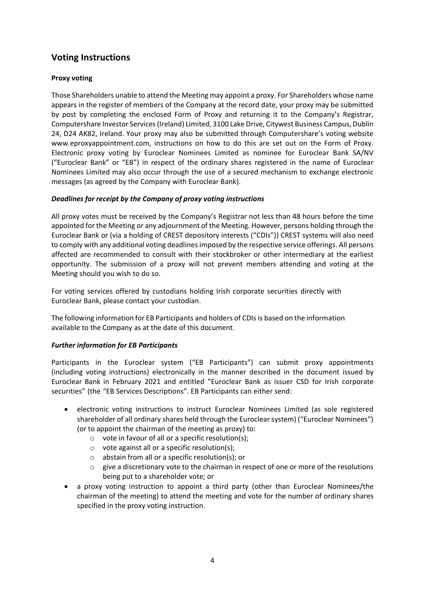## **Voting Instructions**

### **Proxy voting**

Those Shareholders unable to attend the Meeting may appoint a proxy. For Shareholders whose name appears in the register of members of the Company at the record date, your proxy may be submitted by post by completing the enclosed Form of Proxy and returning it to the Company's Registrar, Computershare Investor Services(Ireland) Limited, 3100 Lake Drive, Citywest Business Campus, Dublin 24, D24 AK82, Ireland. Your proxy may also be submitted through Computershare's voting website www.eproxyappointment.com, instructions on how to do this are set out on the Form of Proxy. Electronic proxy voting by Euroclear Nominees Limited as nominee for Euroclear Bank SA/NV ("Euroclear Bank" or "EB") in respect of the ordinary shares registered in the name of Euroclear Nominees Limited may also occur through the use of a secured mechanism to exchange electronic messages (as agreed by the Company with Euroclear Bank).

### *Deadlines for receipt by the Company of proxy voting instructions*

All proxy votes must be received by the Company's Registrar not less than 48 hours before the time appointed for the Meeting or any adjournment of the Meeting. However, persons holding through the Euroclear Bank or (via a holding of CREST depository interests ("CDIs")) CREST systems will also need to comply with any additional voting deadlines imposed by the respective service offerings. All persons affected are recommended to consult with their stockbroker or other intermediary at the earliest opportunity. The submission of a proxy will not prevent members attending and voting at the Meeting should you wish to do so.

For voting services offered by custodians holding Irish corporate securities directly with Euroclear Bank, please contact your custodian.

The following information for EB Participants and holders of CDIsis based on the information available to the Company as at the date of this document.

### *Further information for EB Participants*

Participants in the Euroclear system ("EB Participants") can submit proxy appointments (including voting instructions) electronically in the manner described in the document issued by Euroclear Bank in February 2021 and entitled "Euroclear Bank as issuer CSD for Irish corporate securities" (the "EB Services Descriptions". EB Participants can either send:

- electronic voting instructions to instruct Euroclear Nominees Limited (as sole registered shareholder of all ordinary shares held through the Euroclear system) ("Euroclear Nominees") (or to appoint the chairman of the meeting as proxy) to:
	- $\circ$  vote in favour of all or a specific resolution(s);
	- o vote against all or a specific resolution(s);
	- o abstain from all or a specific resolution(s); or
	- $\circ$  give a discretionary vote to the chairman in respect of one or more of the resolutions being put to a shareholder vote; or
- a proxy voting instruction to appoint a third party (other than Euroclear Nominees/the chairman of the meeting) to attend the meeting and vote for the number of ordinary shares specified in the proxy voting instruction.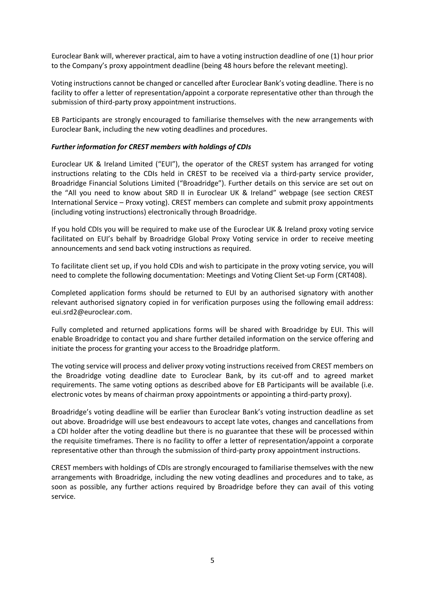Euroclear Bank will, wherever practical, aim to have a voting instruction deadline of one (1) hour prior to the Company's proxy appointment deadline (being 48 hours before the relevant meeting).

Voting instructions cannot be changed or cancelled after Euroclear Bank's voting deadline. There is no facility to offer a letter of representation/appoint a corporate representative other than through the submission of third-party proxy appointment instructions.

EB Participants are strongly encouraged to familiarise themselves with the new arrangements with Euroclear Bank, including the new voting deadlines and procedures.

### *Further information for CREST members with holdings of CDIs*

Euroclear UK & Ireland Limited ("EUI"), the operator of the CREST system has arranged for voting instructions relating to the CDIs held in CREST to be received via a third-party service provider, Broadridge Financial Solutions Limited ("Broadridge"). Further details on this service are set out on the "All you need to know about SRD II in Euroclear UK & Ireland" webpage (see section CREST International Service – Proxy voting). CREST members can complete and submit proxy appointments (including voting instructions) electronically through Broadridge.

If you hold CDIs you will be required to make use of the Euroclear UK & Ireland proxy voting service facilitated on EUI's behalf by Broadridge Global Proxy Voting service in order to receive meeting announcements and send back voting instructions as required.

To facilitate client set up, if you hold CDIs and wish to participate in the proxy voting service, you will need to complete the following documentation: Meetings and Voting Client Set-up Form (CRT408).

Completed application forms should be returned to EUI by an authorised signatory with another relevant authorised signatory copied in for verification purposes using the following email address: eui.srd2@euroclear.com.

Fully completed and returned applications forms will be shared with Broadridge by EUI. This will enable Broadridge to contact you and share further detailed information on the service offering and initiate the process for granting your access to the Broadridge platform.

The voting service will process and deliver proxy voting instructions received from CREST members on the Broadridge voting deadline date to Euroclear Bank, by its cut-off and to agreed market requirements. The same voting options as described above for EB Participants will be available (i.e. electronic votes by means of chairman proxy appointments or appointing a third-party proxy).

Broadridge's voting deadline will be earlier than Euroclear Bank's voting instruction deadline as set out above. Broadridge will use best endeavours to accept late votes, changes and cancellations from a CDI holder after the voting deadline but there is no guarantee that these will be processed within the requisite timeframes. There is no facility to offer a letter of representation/appoint a corporate representative other than through the submission of third-party proxy appointment instructions.

CREST members with holdings of CDIs are strongly encouraged to familiarise themselves with the new arrangements with Broadridge, including the new voting deadlines and procedures and to take, as soon as possible, any further actions required by Broadridge before they can avail of this voting service.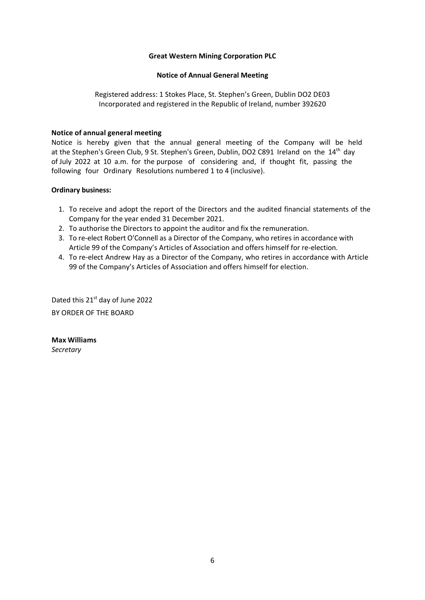### **Great Western Mining Corporation PLC**

### **Notice of Annual General Meeting**

Registered address: 1 Stokes Place, St. Stephen's Green, Dublin DO2 DE03 Incorporated and registered in the Republic of Ireland, number 392620

### **Notice of annual general meeting**

Notice is hereby given that the annual general meeting of the Company will be held at the Stephen's Green Club, 9 St. Stephen's Green, Dublin, DO2 C891 Ireland on the 14<sup>th</sup> day of July 2022 at 10 a.m. for the purpose of considering and, if thought fit, passing the following four Ordinary Resolutions numbered 1 to 4 (inclusive).

### **Ordinary business:**

- 1. To receive and adopt the report of the Directors and the audited financial statements of the Company for the year ended 31 December 2021.
- 2. To authorise the Directors to appoint the auditor and fix the remuneration.
- 3. To re-elect Robert O'Connell as a Director of the Company, who retires in accordance with Article 99 of the Company's Articles of Association and offers himself for re-election.
- 4. To re-elect Andrew Hay as a Director of the Company, who retires in accordance with Article 99 of the Company's Articles of Association and offers himself for election.

Dated this 21<sup>st</sup> day of June 2022 BY ORDER OF THE BOARD

**Max Williams**  *Secretary*